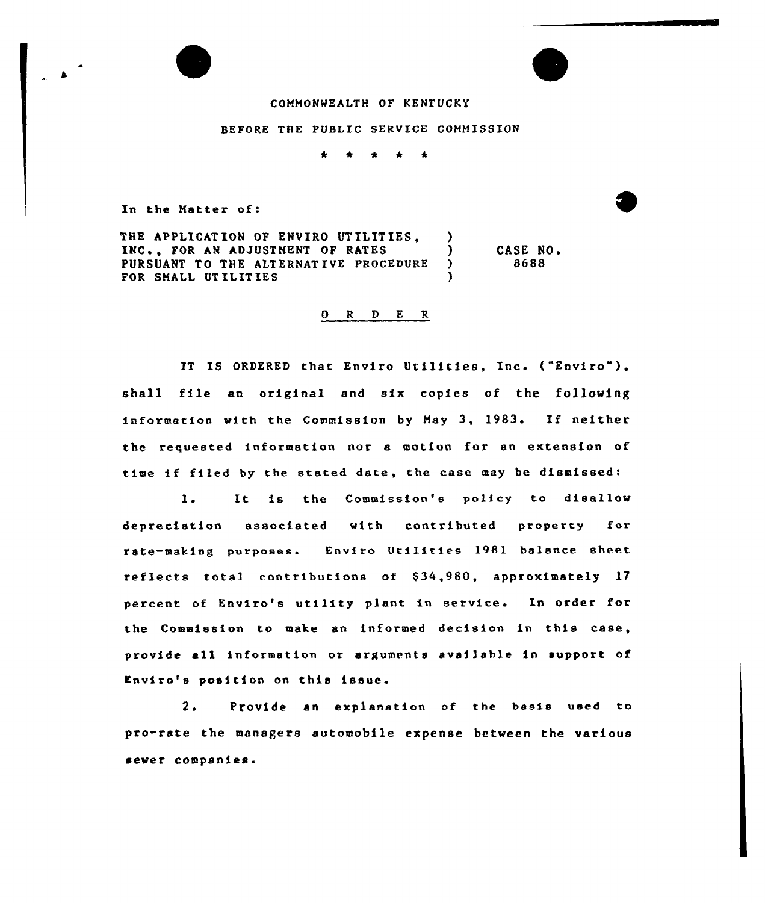

## BEFORE THE PUBLIC SERVICE COMMISSION

\* \* \* \*  $\frac{1}{2}$ 

In the Natter of:

THE APPLICATION OF ENVIRO UTILITIES,  $\qquad$ )<br>INC.. FOR AN ADJUSTMENT OF RATES INC., FOR AN ADJUSTMENT OF RATES (1997)<br>PURSUANT TO THE ALTERNATIVE PROCEDURE (2007) PURSUANT TO THE ALTERNATIVE PROCEDURE )<br>FOR SMALL UTILITIES FOR SMALL UTILITIES CASE NO <sup>~</sup> 8688

## 0 <sup>R</sup> <sup>D</sup> E R

IT IS ORDERED that Enviro Utilities, Inc. ("Enviro"), shall file an original and six copies of the following information with the Commission by May 3, 1983. If neither the requested information nor a motion for an extension of time if filed by the stated date, the case may be dismissed:

l. It is the Commission's policy to disallow depreciation associated with contributed property for rate-making purposes. Enviro Utilities 1981 balance sheet reflects total contributions of S34,980, approximately 17 percent of Enviro's utility plant in service. In order for the Commission to make an informed decision in this case, provide all information or arguments available in support of Enviro's position on this issue.

2e Provide an explanation of the basis used to pro-rate the managers automobile expense between the various sewer companies.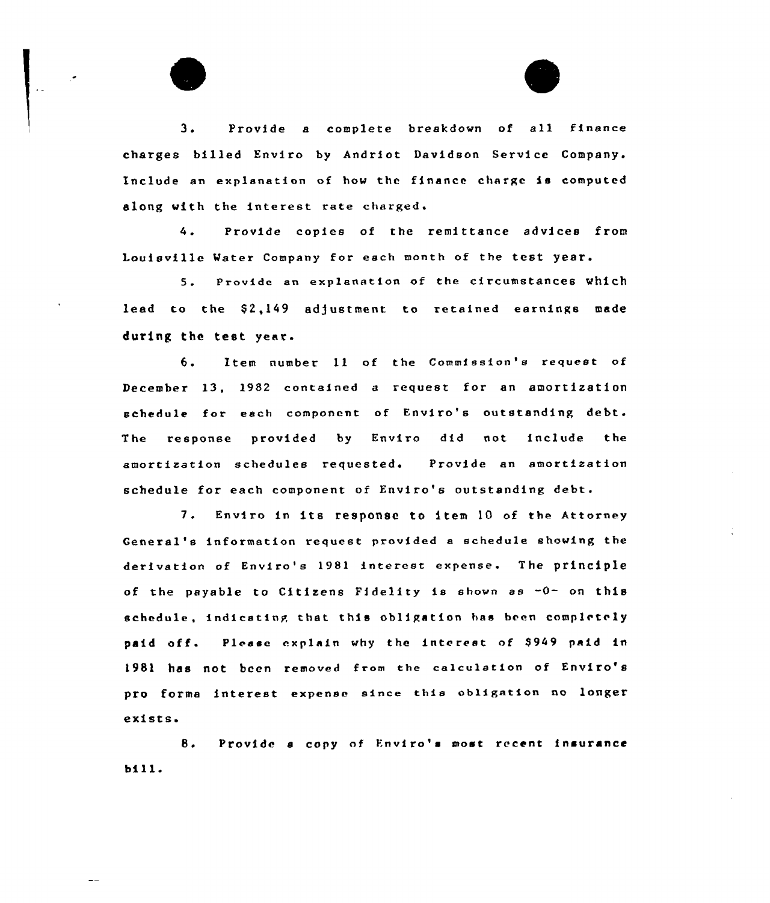<sup>3</sup> <sup>~</sup> Provide <sup>a</sup> complete breakdown of all finance charges billed Enviro by Andriot Davidson Service Company. Include an explanation of how the finance charge is computed along with the interest rate charged'.

Provide copies of the remittance advices from  $4.1$ Louisville Water Company for each month of the test year.

S. Provide an explanation of the circumstances Which lead to the \$2,149 adjustment to retained earnings made during the test year.

6. Item number 11 of the Commission's request of December 13, 1982 contained <sup>e</sup> request for an amortization schedule for each component of Enviro's outstanding debt. The response provided by Enviro did not include the amortization schedules requested. Provide an amortization schedule for each component of Enviro's outstanding debt.

7. Enviro in its response to item <sup>10</sup> of the Attorney General's information request provided e schedule shoving the derivation of Enviro's 1981 interest expense. The principle of the payable to Citizens Fidelity is shown as -0- on this schedule, indicating that this obligation has been completely paid off. Please explain why the interest of \$949 paid in 1981 has not been removed from the calculation of Enviro's pro forma interest expense since this obligation no longer exists.

8. Provide a copy of Enviro's most recent insurance bill.